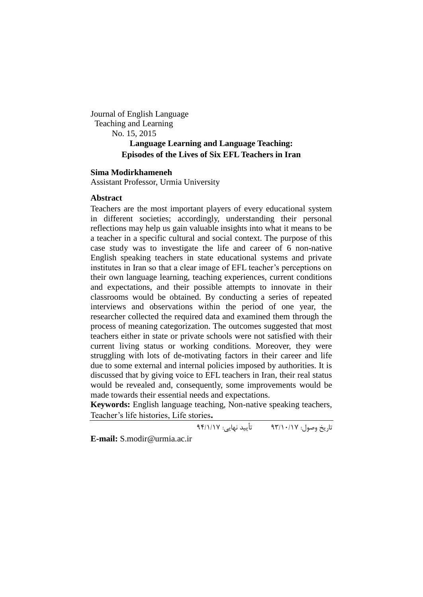Journal of English Language Teaching and Learning No. 15, 2015 **Language Learning and Language Teaching: Episodes of the Lives of Six EFL Teachers in Iran**

#### **Sima Modirkhameneh**

Assistant Professor, Urmia University

# **Abstract**

Teachers are the most important players of every educational system in different societies; accordingly, understanding their personal reflections may help us gain valuable insights into what it means to be a teacher in a specific cultural and social context. The purpose of this case study was to investigate the life and career of 6 non-native English speaking teachers in state educational systems and private institutes in Iran so that a clear image of EFL teacher's perceptions on their own language learning, teaching experiences, current conditions and expectations, and their possible attempts to innovate in their classrooms would be obtained. By conducting a series of repeated interviews and observations within the period of one year, the researcher collected the required data and examined them through the process of meaning categorization. The outcomes suggested that most teachers either in state or private schools were not satisfied with their current living status or working conditions. Moreover, they were struggling with lots of de-motivating factors in their career and life due to some external and internal policies imposed by authorities. It is discussed that by giving voice to EFL teachers in Iran, their real status would be revealed and, consequently, some improvements would be made towards their essential needs and expectations.

**Keywords:** English language teaching, Non-native speaking teachers, Teacher's life histories, Life stories**.**

تاریخ وصول: 39/71/71 تأیید نهایی: 39/7/71

**E-mail:** S.modir@urmia.ac.ir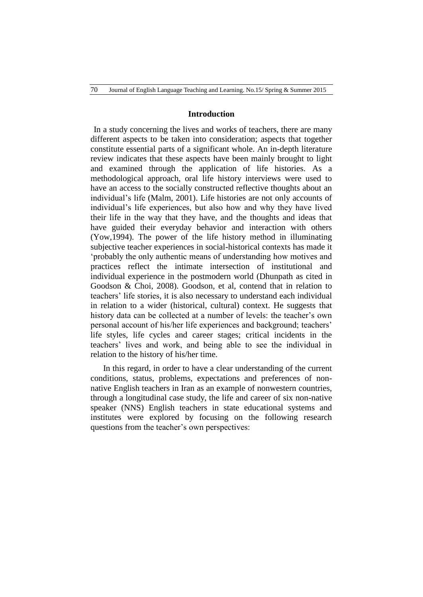### **Introduction**

In a study concerning the lives and works of teachers, there are many different aspects to be taken into consideration; aspects that together constitute essential parts of a significant whole. An in-depth literature review indicates that these aspects have been mainly brought to light and examined through the application of life histories. As a methodological approach, oral life history interviews were used to have an access to the socially constructed reflective thoughts about an individual's life (Malm, 2001). Life histories are not only accounts of individual's life experiences, but also how and why they have lived their life in the way that they have, and the thoughts and ideas that have guided their everyday behavior and interaction with others (Yow,1994). The power of the life history method in illuminating subjective teacher experiences in social-historical contexts has made it 'probably the only authentic means of understanding how motives and practices reflect the intimate intersection of institutional and individual experience in the postmodern world (Dhunpath as cited in Goodson & Choi, 2008). Goodson, et al, contend that in relation to teachers' life stories, it is also necessary to understand each individual in relation to a wider (historical, cultural) context. He suggests that history data can be collected at a number of levels: the teacher's own personal account of his/her life experiences and background; teachers' life styles, life cycles and career stages; critical incidents in the teachers' lives and work, and being able to see the individual in relation to the history of his/her time.

In this regard, in order to have a clear understanding of the current conditions, status, problems, expectations and preferences of nonnative English teachers in Iran as an example of nonwestern countries, through a longitudinal case study, the life and career of six non-native speaker (NNS) English teachers in state educational systems and institutes were explored by focusing on the following research questions from the teacher's own perspectives: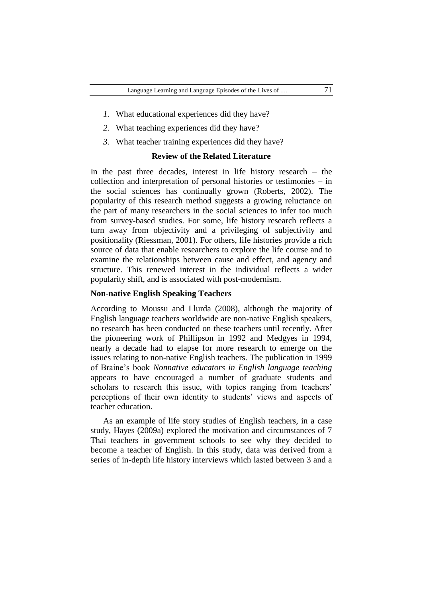- *1.* What educational experiences did they have?
- *2.* What teaching experiences did they have?
- *3.* What teacher training experiences did they have?

# **Review of the Related Literature**

In the past three decades, interest in life history research – the collection and interpretation of personal histories or testimonies – in the social sciences has continually grown (Roberts, 2002). The popularity of this research method suggests a growing reluctance on the part of many researchers in the social sciences to infer too much from survey-based studies. For some, life history research reflects a turn away from objectivity and a privileging of subjectivity and positionality (Riessman, 2001). For others, life histories provide a rich source of data that enable researchers to explore the life course and to examine the relationships between cause and effect, and agency and structure. This renewed interest in the individual reflects a wider popularity shift, and is associated with post-modernism.

#### **Non-native English Speaking Teachers**

According to Moussu and Llurda (2008), although the majority of English language teachers worldwide are non-native English speakers, no research has been conducted on these teachers until recently. After the pioneering work of Phillipson in 1992 and Medgyes in 1994, nearly a decade had to elapse for more research to emerge on the issues relating to non-native English teachers. The publication in 1999 of Braine's book *Nonnative educators in English language teaching* appears to have encouraged a number of graduate students and scholars to research this issue, with topics ranging from teachers' perceptions of their own identity to students' views and aspects of teacher education.

As an example of life story studies of English teachers, in a case study, Hayes (2009a) explored the motivation and circumstances of 7 Thai teachers in government schools to see why they decided to become a teacher of English. In this study, data was derived from a series of in-depth life history interviews which lasted between 3 and a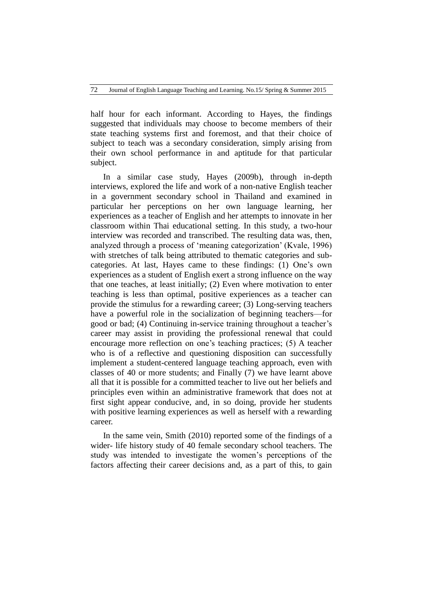half hour for each informant. According to Hayes, the findings suggested that individuals may choose to become members of their state teaching systems first and foremost, and that their choice of subject to teach was a secondary consideration, simply arising from their own school performance in and aptitude for that particular subject.

In a similar case study, Hayes (2009b), through in-depth interviews, explored the life and work of a non-native English teacher in a government secondary school in Thailand and examined in particular her perceptions on her own language learning, her experiences as a teacher of English and her attempts to innovate in her classroom within Thai educational setting. In this study, a two-hour interview was recorded and transcribed. The resulting data was, then, analyzed through a process of 'meaning categorization' (Kvale, 1996) with stretches of talk being attributed to thematic categories and subcategories. At last, Hayes came to these findings: (1) One's own experiences as a student of English exert a strong influence on the way that one teaches, at least initially; (2) Even where motivation to enter teaching is less than optimal, positive experiences as a teacher can provide the stimulus for a rewarding career; (3) Long-serving teachers have a powerful role in the socialization of beginning teachers—for good or bad; (4) Continuing in-service training throughout a teacher's career may assist in providing the professional renewal that could encourage more reflection on one's teaching practices; (5) A teacher who is of a reflective and questioning disposition can successfully implement a student-centered language teaching approach, even with classes of 40 or more students; and Finally (7) we have learnt above all that it is possible for a committed teacher to live out her beliefs and principles even within an administrative framework that does not at first sight appear conducive, and, in so doing, provide her students with positive learning experiences as well as herself with a rewarding career.

In the same vein, Smith (2010) reported some of the findings of a wider- life history study of 40 female secondary school teachers. The study was intended to investigate the women's perceptions of the factors affecting their career decisions and, as a part of this, to gain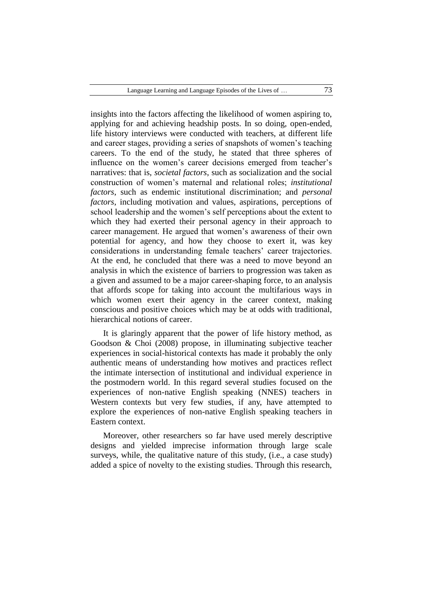insights into the factors affecting the likelihood of women aspiring to, applying for and achieving headship posts. In so doing, open-ended, life history interviews were conducted with teachers, at different life and career stages, providing a series of snapshots of women's teaching careers. To the end of the study, he stated that three spheres of influence on the women's career decisions emerged from teacher's narratives: that is, *societal factors*, such as socialization and the social construction of women's maternal and relational roles; *institutional factors*, such as endemic institutional discrimination; and *personal factors*, including motivation and values, aspirations, perceptions of school leadership and the women's self perceptions about the extent to which they had exerted their personal agency in their approach to career management. He argued that women's awareness of their own potential for agency, and how they choose to exert it, was key considerations in understanding female teachers' career trajectories. At the end, he concluded that there was a need to move beyond an analysis in which the existence of barriers to progression was taken as a given and assumed to be a major career-shaping force, to an analysis that affords scope for taking into account the multifarious ways in which women exert their agency in the career context, making conscious and positive choices which may be at odds with traditional, hierarchical notions of career.

It is glaringly apparent that the power of life history method, as Goodson & Choi (2008) propose, in illuminating subjective teacher experiences in social-historical contexts has made it probably the only authentic means of understanding how motives and practices reflect the intimate intersection of institutional and individual experience in the postmodern world. In this regard several studies focused on the experiences of non-native English speaking (NNES) teachers in Western contexts but very few studies, if any, have attempted to explore the experiences of non-native English speaking teachers in Eastern context.

Moreover, other researchers so far have used merely descriptive designs and yielded imprecise information through large scale surveys, while, the qualitative nature of this study, (i.e., a case study) added a spice of novelty to the existing studies. Through this research,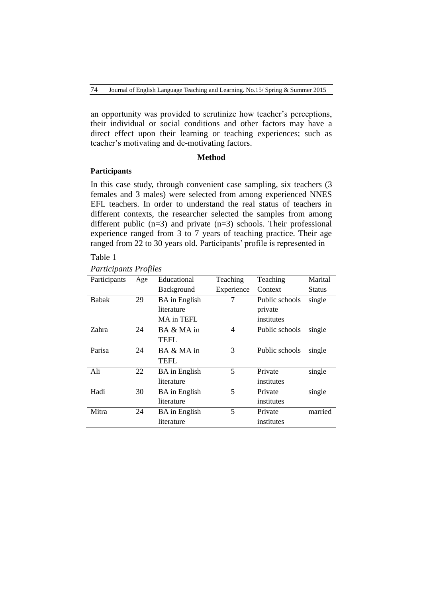an opportunity was provided to scrutinize how teacher's perceptions, their individual or social conditions and other factors may have a direct effect upon their learning or teaching experiences; such as teacher's motivating and de-motivating factors.

### **Method**

### **Participants**

In this case study, through convenient case sampling, six teachers (3 females and 3 males) were selected from among experienced NNES EFL teachers. In order to understand the real status of teachers in different contexts, the researcher selected the samples from among different public  $(n=3)$  and private  $(n=3)$  schools. Their professional experience ranged from 3 to 7 years of teaching practice. Their age ranged from 22 to 30 years old. Participants' profile is represented in

### Table 1

# *Participants Profiles*

| Participants | Age | Educational          | Teaching   | Teaching       | Marital |
|--------------|-----|----------------------|------------|----------------|---------|
|              |     | Background           | Experience | Context        | Status  |
| <b>Babak</b> | 29  | <b>BA</b> in English | 7          | Public schools | single  |
|              |     | literature           |            | private        |         |
|              |     | MA in TEFL           |            | institutes     |         |
| Zahra        | 24  | BA & MA in           | 4          | Public schools | single  |
|              |     | TEFL                 |            |                |         |
| Parisa       | 24  | BA & MA in           | 3          | Public schools | single  |
|              |     | <b>TEFL</b>          |            |                |         |
| Ali          | 22  | <b>BA</b> in English | 5          | Private        | single  |
|              |     | literature           |            | institutes     |         |
| Hadi         | 30  | <b>BA</b> in English | 5          | Private        | single  |
|              |     | literature           |            | institutes     |         |
| Mitra        | 24  | <b>BA</b> in English | 5          | Private        | married |
|              |     | literature           |            | institutes     |         |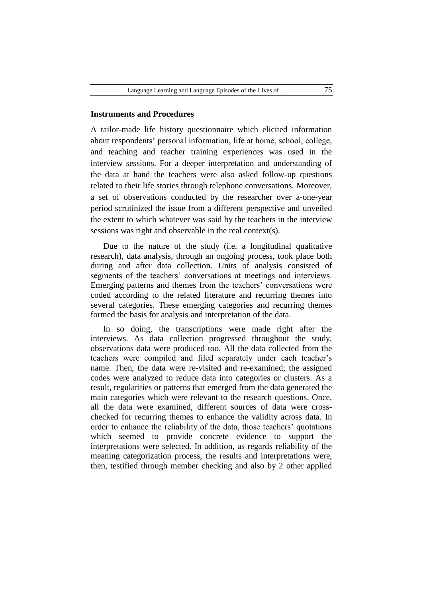### **Instruments and Procedures**

A tailor-made life history questionnaire which elicited information about respondents' personal information, life at home, school, college, and teaching and teacher training experiences was used in the interview sessions. For a deeper interpretation and understanding of the data at hand the teachers were also asked follow-up questions related to their life stories through telephone conversations. Moreover, a set of observations conducted by the researcher over a-one-year period scrutinized the issue from a different perspective and unveiled the extent to which whatever was said by the teachers in the interview sessions was right and observable in the real context(s).

Due to the nature of the study (i.e. a longitudinal qualitative research), data analysis, through an ongoing process, took place both during and after data collection. Units of analysis consisted of segments of the teachers' conversations at meetings and interviews. Emerging patterns and themes from the teachers' conversations were coded according to the related literature and recurring themes into several categories. These emerging categories and recurring themes formed the basis for analysis and interpretation of the data.

In so doing, the transcriptions were made right after the interviews. As data collection progressed throughout the study, observations data were produced too. All the data collected from the teachers were compiled and filed separately under each teacher's name. Then, the data were re-visited and re-examined; the assigned codes were analyzed to reduce data into categories or clusters. As a result, regularities or patterns that emerged from the data generated the main categories which were relevant to the research questions. Once, all the data were examined, different sources of data were crosschecked for recurring themes to enhance the validity across data. In order to enhance the reliability of the data, those teachers' quotations which seemed to provide concrete evidence to support the interpretations were selected. In addition, as regards reliability of the meaning categorization process, the results and interpretations were, then, testified through member checking and also by 2 other applied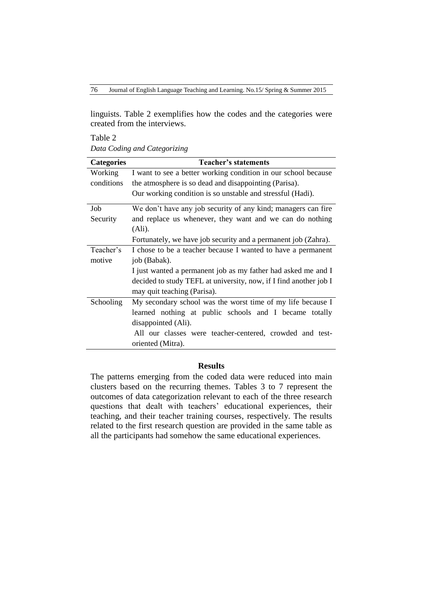linguists. Table 2 exemplifies how the codes and the categories were created from the interviews.

Table 2 *Data Coding and Categorizing*

| <b>Categories</b> | <b>Teacher's statements</b>                                       |
|-------------------|-------------------------------------------------------------------|
| Working           | I want to see a better working condition in our school because    |
| conditions        | the atmosphere is so dead and disappointing (Parisa).             |
|                   | Our working condition is so unstable and stressful (Hadi).        |
| Job               | We don't have any job security of any kind; managers can fire     |
| Security          | and replace us whenever, they want and we can do nothing          |
|                   | (Ali).                                                            |
|                   | Fortunately, we have job security and a permanent job (Zahra).    |
| Teacher's         | I chose to be a teacher because I wanted to have a permanent      |
| motive            | job (Babak).                                                      |
|                   | I just wanted a permanent job as my father had asked me and I     |
|                   | decided to study TEFL at university, now, if I find another job I |
|                   | may quit teaching (Parisa).                                       |
| Schooling         | My secondary school was the worst time of my life because I       |
|                   | learned nothing at public schools and I became totally            |
|                   | disappointed (Ali).                                               |
|                   | All our classes were teacher-centered, crowded and test-          |
|                   | oriented (Mitra).                                                 |

### **Results**

The patterns emerging from the coded data were reduced into main clusters based on the recurring themes. Tables 3 to 7 represent the outcomes of data categorization relevant to each of the three research questions that dealt with teachers' educational experiences, their teaching, and their teacher training courses, respectively. The results related to the first research question are provided in the same table as all the participants had somehow the same educational experiences.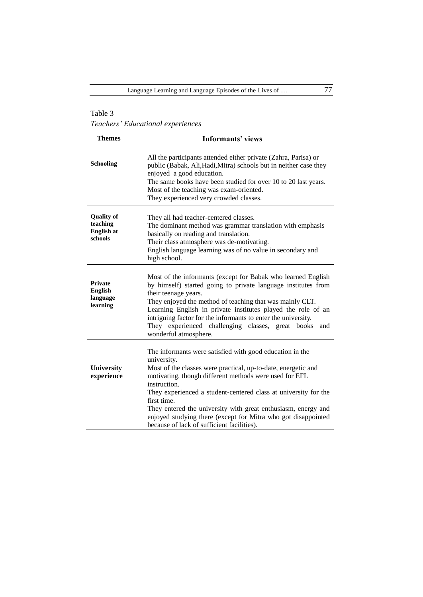*Teachers' Educational experiences*

| <b>Themes</b>                                                 | <b>Informants' views</b>                                                                                                                                                                                                                                                                                                                                                                                                                                                             |
|---------------------------------------------------------------|--------------------------------------------------------------------------------------------------------------------------------------------------------------------------------------------------------------------------------------------------------------------------------------------------------------------------------------------------------------------------------------------------------------------------------------------------------------------------------------|
| <b>Schooling</b>                                              | All the participants attended either private (Zahra, Parisa) or<br>public (Babak, Ali, Hadi, Mitra) schools but in neither case they<br>enjoyed a good education.<br>The same books have been studied for over 10 to 20 last years.<br>Most of the teaching was exam-oriented.<br>They experienced very crowded classes.                                                                                                                                                             |
| <b>Quality of</b><br>teaching<br><b>English at</b><br>schools | They all had teacher-centered classes.<br>The dominant method was grammar translation with emphasis<br>basically on reading and translation.<br>Their class atmosphere was de-motivating.<br>English language learning was of no value in secondary and<br>high school.                                                                                                                                                                                                              |
| <b>Private</b><br><b>English</b><br>language<br>learning      | Most of the informants (except for Babak who learned English<br>by himself) started going to private language institutes from<br>their teenage years.<br>They enjoyed the method of teaching that was mainly CLT.<br>Learning English in private institutes played the role of an<br>intriguing factor for the informants to enter the university.<br>They experienced challenging<br>classes, great books<br>and<br>wonderful atmosphere.                                           |
| University<br>experience                                      | The informants were satisfied with good education in the<br>university.<br>Most of the classes were practical, up-to-date, energetic and<br>motivating, though different methods were used for EFL<br>instruction.<br>They experienced a student-centered class at university for the<br>first time.<br>They entered the university with great enthusiasm, energy and<br>enjoyed studying there (except for Mitra who got disappointed<br>because of lack of sufficient facilities). |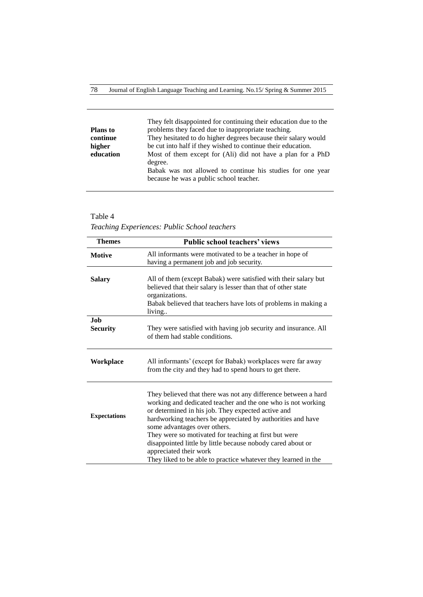|                 | They felt disappointed for continuing their education due to the |
|-----------------|------------------------------------------------------------------|
| <b>Plans</b> to | problems they faced due to inappropriate teaching.               |
| continue        | They hesitated to do higher degrees because their salary would   |
| higher          | be cut into half if they wished to continue their education.     |
| education       | Most of them except for (Ali) did not have a plan for a PhD      |
|                 | degree.                                                          |
|                 | Babak was not allowed to continue his studies for one year       |
|                 | because he was a public school teacher.                          |
|                 |                                                                  |

*Teaching Experiences: Public School teachers* 

| <b>Themes</b>                 | <b>Public school teachers' views</b>                                                                                                                                                                                                                                                                                                                                                                                                                                                                    |
|-------------------------------|---------------------------------------------------------------------------------------------------------------------------------------------------------------------------------------------------------------------------------------------------------------------------------------------------------------------------------------------------------------------------------------------------------------------------------------------------------------------------------------------------------|
| <b>Motive</b>                 | All informants were motivated to be a teacher in hope of<br>having a permanent job and job security.                                                                                                                                                                                                                                                                                                                                                                                                    |
| <b>Salary</b>                 | All of them (except Babak) were satisfied with their salary but<br>believed that their salary is lesser than that of other state<br>organizations.<br>Babak believed that teachers have lots of problems in making a<br>living                                                                                                                                                                                                                                                                          |
| <b>Job</b><br><b>Security</b> | They were satisfied with having job security and insurance. All<br>of them had stable conditions.                                                                                                                                                                                                                                                                                                                                                                                                       |
| Workplace                     | All informants' (except for Babak) workplaces were far away<br>from the city and they had to spend hours to get there.                                                                                                                                                                                                                                                                                                                                                                                  |
| <b>Expectations</b>           | They believed that there was not any difference between a hard<br>working and dedicated teacher and the one who is not working<br>or determined in his job. They expected active and<br>hardworking teachers be appreciated by authorities and have<br>some advantages over others.<br>They were so motivated for teaching at first but were<br>disappointed little by little because nobody cared about or<br>appreciated their work<br>They liked to be able to practice whatever they learned in the |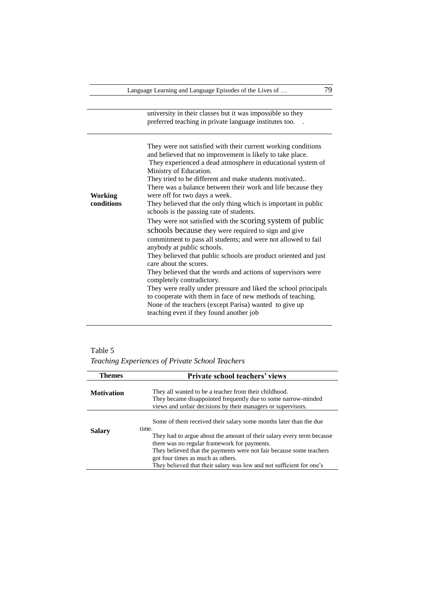university in their classes but it was impossible so they preferred teaching in private language institutes too. .

**Working conditions** They were not satisfied with their current working conditions and believed that no improvement is likely to take place. They experienced a dead atmosphere in educational system of Ministry of Education. They tried to be different and make students motivated.. There was a balance between their work and life because they were off for two days a week. They believed that the only thing which is important in public schools is the passing rate of students. They were not satisfied with the scoring system of public schools because they were required to sign and give commitment to pass all students; and were not allowed to fail anybody at public schools. They believed that public schools are product oriented and just care about the scores. They believed that the words and actions of supervisors were completely contradictory. They were really under pressure and liked the school principals to cooperate with them in face of new methods of teaching. None of the teachers (except Parisa) wanted to give up teaching even if they found another job

*Teaching Experiences of Private School Teachers* 

| <b>Themes</b>     | <b>Private school teachers' views</b>                                                                                                                                                               |
|-------------------|-----------------------------------------------------------------------------------------------------------------------------------------------------------------------------------------------------|
| <b>Motivation</b> | They all wanted to be a teacher from their childhood.<br>They became disappointed frequently due to some narrow-minded<br>views and unfair decisions by their managers or supervisors.              |
| <b>Salary</b>     | Some of them received their salary some months later than the due<br>time.<br>They had to argue about the amount of their salary every term because<br>there was no regular framework for payments. |
|                   | They believed that the payments were not fair because some teachers<br>got four times as much as others.<br>They believed that their salary was low and not sufficient for one's                    |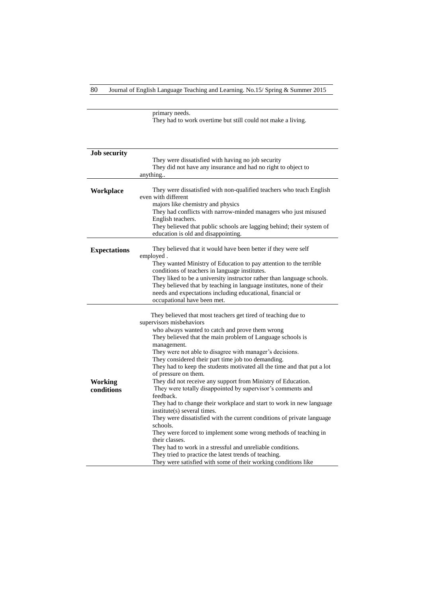80 Journal of English Language Teaching and Learning. No.15/ Spring & Summer 2015

primary needs. They had to work overtime but still could not make a living.

| <b>Job security</b> |                                                                         |
|---------------------|-------------------------------------------------------------------------|
|                     | They were dissatisfied with having no job security                      |
|                     | They did not have any insurance and had no right to object to           |
|                     | anything                                                                |
|                     |                                                                         |
| Workplace           | They were dissatisfied with non-qualified teachers who teach English    |
|                     | even with different                                                     |
|                     | majors like chemistry and physics                                       |
|                     | They had conflicts with narrow-minded managers who just misused         |
|                     | English teachers.                                                       |
|                     | They believed that public schools are lagging behind; their system of   |
|                     | education is old and disappointing.                                     |
|                     |                                                                         |
| <b>Expectations</b> | They believed that it would have been better if they were self          |
|                     | employed.                                                               |
|                     | They wanted Ministry of Education to pay attention to the terrible      |
|                     | conditions of teachers in language institutes.                          |
|                     | They liked to be a university instructor rather than language schools.  |
|                     | They believed that by teaching in language institutes, none of their    |
|                     | needs and expectations including educational, financial or              |
|                     |                                                                         |
|                     | occupational have been met.                                             |
|                     |                                                                         |
|                     | They believed that most teachers get tired of teaching due to           |
|                     | supervisors misbehaviors                                                |
|                     | who always wanted to catch and prove them wrong                         |
|                     | They believed that the main problem of Language schools is              |
|                     | management.                                                             |
|                     | They were not able to disagree with manager's decisions.                |
|                     | They considered their part time job too demanding.                      |
|                     | They had to keep the students motivated all the time and that put a lot |
|                     | of pressure on them.                                                    |
| <b>Working</b>      | They did not receive any support from Ministry of Education.            |
| conditions          | They were totally disappointed by supervisor's comments and             |
|                     | feedback.                                                               |
|                     | They had to change their workplace and start to work in new language    |
|                     | institute(s) several times.                                             |
|                     | They were dissatisfied with the current conditions of private language  |
|                     | schools.                                                                |
|                     | They were forced to implement some wrong methods of teaching in         |
|                     | their classes.                                                          |
|                     | They had to work in a stressful and unreliable conditions.              |
|                     | They tried to practice the latest trends of teaching.                   |
|                     | They were satisfied with some of their working conditions like          |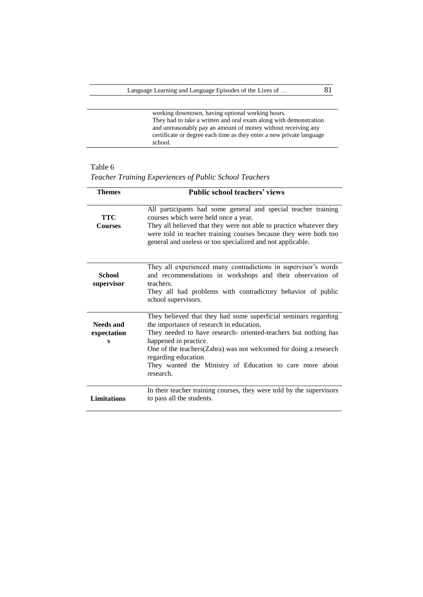working downtown, having optional working hours. They had to take a written and oral exam along with demonstration and unreasonably pay an amount of money without receiving any certificate or degree each time as they enter a new private language school.

| <b>Themes</b>                 | <b>Public school teachers' views</b>                                                                                                                                                                                                                                                                                                                                         |
|-------------------------------|------------------------------------------------------------------------------------------------------------------------------------------------------------------------------------------------------------------------------------------------------------------------------------------------------------------------------------------------------------------------------|
| <b>TTC</b><br><b>Courses</b>  | All participants had some general and special teacher training<br>courses which were held once a year.<br>They all believed that they were not able to practice whatever they<br>were told in teacher training courses because they were both too<br>general and useless or too specialized and not applicable.                                                              |
| <b>School</b><br>supervisor   | They all experienced many contradictions in supervisor's words<br>and recommendations in workshops and their observation of<br>teachers.<br>They all had problems with contradictory behavior of public<br>school supervisors.                                                                                                                                               |
| Needs and<br>expectation<br>s | They believed that they had some superficial seminars regarding<br>the importance of research in education.<br>They needed to have research- oriented-teachers but nothing has<br>happened in practice.<br>One of the teachers (Zahra) was not welcomed for doing a research<br>regarding education<br>They wanted the Ministry of Education to care more about<br>research. |
| <b>Limitations</b>            | In their teacher training courses, they were told by the supervisors<br>to pass all the students.                                                                                                                                                                                                                                                                            |

*Teacher Training Experiences of Public School Teachers*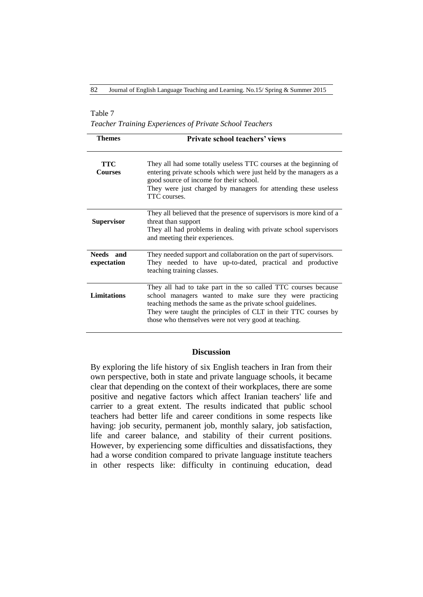### Table 7

*Teacher Training Experiences of Private School Teachers* 

| <b>Themes</b>                | <b>Private school teachers' views</b>                                                                                                                                                                                                                                                                               |
|------------------------------|---------------------------------------------------------------------------------------------------------------------------------------------------------------------------------------------------------------------------------------------------------------------------------------------------------------------|
| <b>TTC</b><br><b>Courses</b> | They all had some totally useless TTC courses at the beginning of<br>entering private schools which were just held by the managers as a<br>good source of income for their school.<br>They were just charged by managers for attending these useless<br>TTC courses.                                                |
| <b>Supervisor</b>            | They all believed that the presence of supervisors is more kind of a<br>threat than support<br>They all had problems in dealing with private school supervisors<br>and meeting their experiences.                                                                                                                   |
| Needs and<br>expectation     | They needed support and collaboration on the part of supervisors.<br>They needed to have up-to-dated, practical and productive<br>teaching training classes.                                                                                                                                                        |
| <b>Limitations</b>           | They all had to take part in the so called TTC courses because<br>school managers wanted to make sure they were practicing<br>teaching methods the same as the private school guidelines.<br>They were taught the principles of CLT in their TTC courses by<br>those who themselves were not very good at teaching. |

#### **Discussion**

By exploring the life history of six English teachers in Iran from their own perspective, both in state and private language schools, it became clear that depending on the context of their workplaces, there are some positive and negative factors which affect Iranian teachers' life and carrier to a great extent. The results indicated that public school teachers had better life and career conditions in some respects like having: job security, permanent job, monthly salary, job satisfaction, life and career balance, and stability of their current positions. However, by experiencing some difficulties and dissatisfactions, they had a worse condition compared to private language institute teachers in other respects like: difficulty in continuing education, dead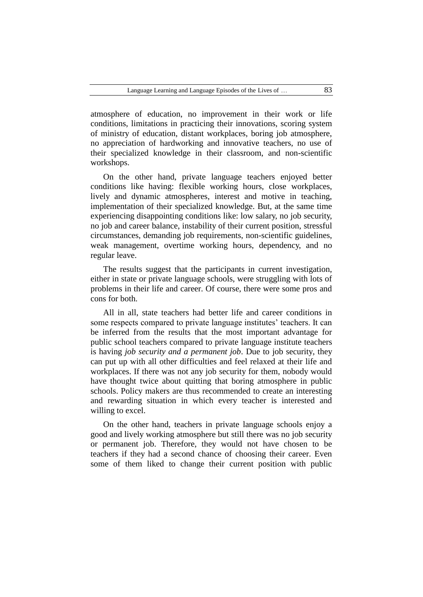atmosphere of education, no improvement in their work or life conditions, limitations in practicing their innovations, scoring system of ministry of education, distant workplaces, boring job atmosphere, no appreciation of hardworking and innovative teachers, no use of their specialized knowledge in their classroom, and non-scientific workshops.

On the other hand, private language teachers enjoyed better conditions like having: flexible working hours, close workplaces, lively and dynamic atmospheres, interest and motive in teaching, implementation of their specialized knowledge. But, at the same time experiencing disappointing conditions like: low salary, no job security, no job and career balance, instability of their current position, stressful circumstances, demanding job requirements, non-scientific guidelines, weak management, overtime working hours, dependency, and no regular leave.

The results suggest that the participants in current investigation, either in state or private language schools, were struggling with lots of problems in their life and career. Of course, there were some pros and cons for both.

All in all, state teachers had better life and career conditions in some respects compared to private language institutes' teachers. It can be inferred from the results that the most important advantage for public school teachers compared to private language institute teachers is having *job security and a permanent job*. Due to job security, they can put up with all other difficulties and feel relaxed at their life and workplaces. If there was not any job security for them, nobody would have thought twice about quitting that boring atmosphere in public schools. Policy makers are thus recommended to create an interesting and rewarding situation in which every teacher is interested and willing to excel.

On the other hand, teachers in private language schools enjoy a good and lively working atmosphere but still there was no job security or permanent job. Therefore, they would not have chosen to be teachers if they had a second chance of choosing their career. Even some of them liked to change their current position with public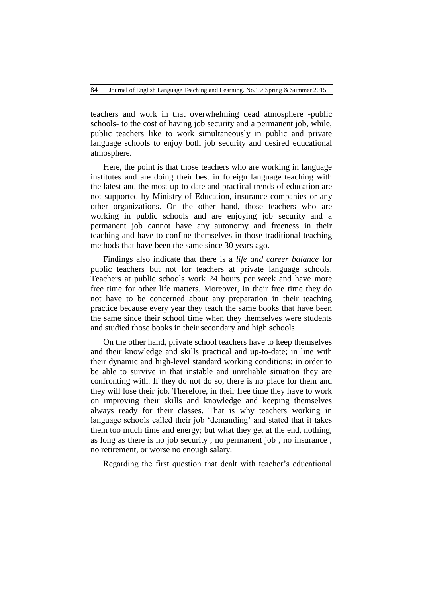teachers and work in that overwhelming dead atmosphere -public schools- to the cost of having job security and a permanent job, while, public teachers like to work simultaneously in public and private language schools to enjoy both job security and desired educational atmosphere.

Here, the point is that those teachers who are working in language institutes and are doing their best in foreign language teaching with the latest and the most up-to-date and practical trends of education are not supported by Ministry of Education, insurance companies or any other organizations. On the other hand, those teachers who are working in public schools and are enjoying job security and a permanent job cannot have any autonomy and freeness in their teaching and have to confine themselves in those traditional teaching methods that have been the same since 30 years ago.

Findings also indicate that there is a *life and career balance* for public teachers but not for teachers at private language schools. Teachers at public schools work 24 hours per week and have more free time for other life matters. Moreover, in their free time they do not have to be concerned about any preparation in their teaching practice because every year they teach the same books that have been the same since their school time when they themselves were students and studied those books in their secondary and high schools.

On the other hand, private school teachers have to keep themselves and their knowledge and skills practical and up-to-date; in line with their dynamic and high-level standard working conditions; in order to be able to survive in that instable and unreliable situation they are confronting with. If they do not do so, there is no place for them and they will lose their job. Therefore, in their free time they have to work on improving their skills and knowledge and keeping themselves always ready for their classes. That is why teachers working in language schools called their job 'demanding' and stated that it takes them too much time and energy; but what they get at the end, nothing, as long as there is no job security , no permanent job , no insurance , no retirement, or worse no enough salary.

Regarding the first question that dealt with teacher's educational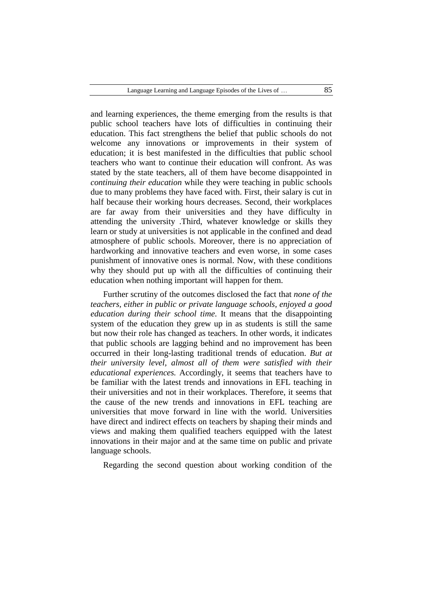and learning experiences, the theme emerging from the results is that public school teachers have lots of difficulties in continuing their education. This fact strengthens the belief that public schools do not welcome any innovations or improvements in their system of education; it is best manifested in the difficulties that public school teachers who want to continue their education will confront. As was stated by the state teachers, all of them have become disappointed in *continuing their education* while they were teaching in public schools due to many problems they have faced with. First, their salary is cut in half because their working hours decreases. Second, their workplaces are far away from their universities and they have difficulty in attending the university .Third, whatever knowledge or skills they learn or study at universities is not applicable in the confined and dead atmosphere of public schools. Moreover, there is no appreciation of hardworking and innovative teachers and even worse, in some cases punishment of innovative ones is normal. Now, with these conditions why they should put up with all the difficulties of continuing their education when nothing important will happen for them.

Further scrutiny of the outcomes disclosed the fact that *none of the teachers, either in public or private language schools, enjoyed a good education during their school time*. It means that the disappointing system of the education they grew up in as students is still the same but now their role has changed as teachers. In other words, it indicates that public schools are lagging behind and no improvement has been occurred in their long-lasting traditional trends of education. *But at their university level, almost all of them were satisfied with their educational experiences.* Accordingly, it seems that teachers have to be familiar with the latest trends and innovations in EFL teaching in their universities and not in their workplaces. Therefore, it seems that the cause of the new trends and innovations in EFL teaching are universities that move forward in line with the world. Universities have direct and indirect effects on teachers by shaping their minds and views and making them qualified teachers equipped with the latest innovations in their major and at the same time on public and private language schools.

Regarding the second question about working condition of the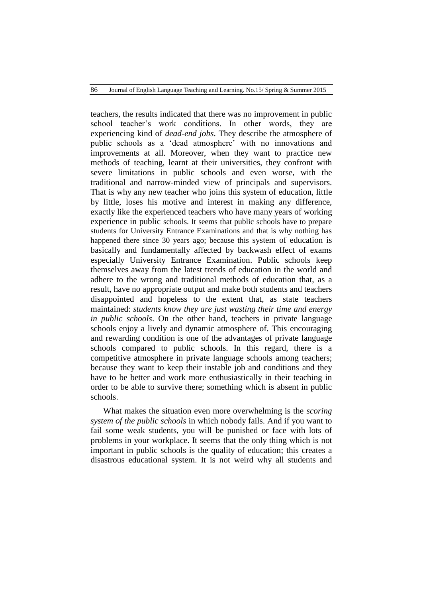teachers, the results indicated that there was no improvement in public school teacher's work conditions. In other words, they are experiencing kind of *dead-end jobs*. They describe the atmosphere of public schools as a 'dead atmosphere' with no innovations and improvements at all. Moreover, when they want to practice new methods of teaching, learnt at their universities, they confront with severe limitations in public schools and even worse, with the traditional and narrow-minded view of principals and supervisors. That is why any new teacher who joins this system of education, little by little, loses his motive and interest in making any difference, exactly like the experienced teachers who have many years of working experience in public schools. It seems that public schools have to prepare students for University Entrance Examinations and that is why nothing has happened there since 30 years ago; because this system of education is basically and fundamentally affected by backwash effect of exams especially University Entrance Examination. Public schools keep themselves away from the latest trends of education in the world and adhere to the wrong and traditional methods of education that, as a result, have no appropriate output and make both students and teachers disappointed and hopeless to the extent that, as state teachers maintained: *students know they are just wasting their time and energy in public schools*. On the other hand, teachers in private language schools enjoy a lively and dynamic atmosphere of. This encouraging and rewarding condition is one of the advantages of private language schools compared to public schools. In this regard, there is a competitive atmosphere in private language schools among teachers; because they want to keep their instable job and conditions and they have to be better and work more enthusiastically in their teaching in order to be able to survive there; something which is absent in public schools.

What makes the situation even more overwhelming is the *scoring system of the public schools* in which nobody fails. And if you want to fail some weak students, you will be punished or face with lots of problems in your workplace. It seems that the only thing which is not important in public schools is the quality of education; this creates a disastrous educational system. It is not weird why all students and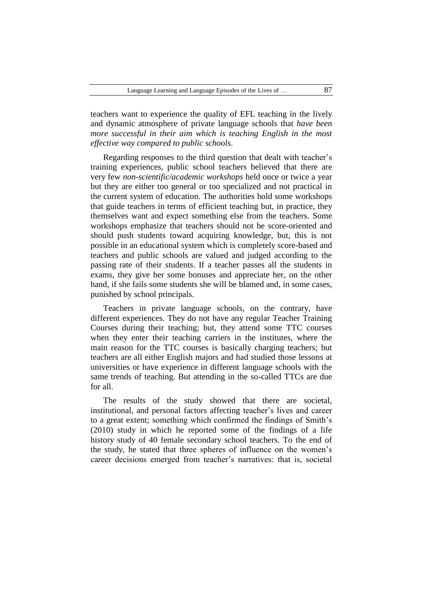teachers want to experience the quality of EFL teaching in the lively and dynamic atmosphere of private language schools that *have been more successful in their aim which is teaching English in the most effective way compared to public schools*.

Regarding responses to the third question that dealt with teacher's training experiences, public school teachers believed that there are very few *non-scientific/academic workshops* held once or twice a year but they are either too general or too specialized and not practical in the current system of education. The authorities hold some workshops that guide teachers in terms of efficient teaching but, in practice, they themselves want and expect something else from the teachers. Some workshops emphasize that teachers should not be score-oriented and should push students toward acquiring knowledge, but, this is not possible in an educational system which is completely score-based and teachers and public schools are valued and judged according to the passing rate of their students. If a teacher passes all the students in exams, they give her some bonuses and appreciate her, on the other hand, if she fails some students she will be blamed and, in some cases, punished by school principals.

Teachers in private language schools, on the contrary, have different experiences. They do not have any regular Teacher Training Courses during their teaching; but, they attend some TTC courses when they enter their teaching carriers in the institutes, where the main reason for the TTC courses is basically charging teachers; but teachers are all either English majors and had studied those lessons at universities or have experience in different language schools with the same trends of teaching. But attending in the so-called TTCs are due for all.

The results of the study showed that there are societal, institutional, and personal factors affecting teacher's lives and career to a great extent; something which confirmed the findings of Smith's (2010) study in which he reported some of the findings of a life history study of 40 female secondary school teachers. To the end of the study, he stated that three spheres of influence on the women's career decisions emerged from teacher's narratives: that is, societal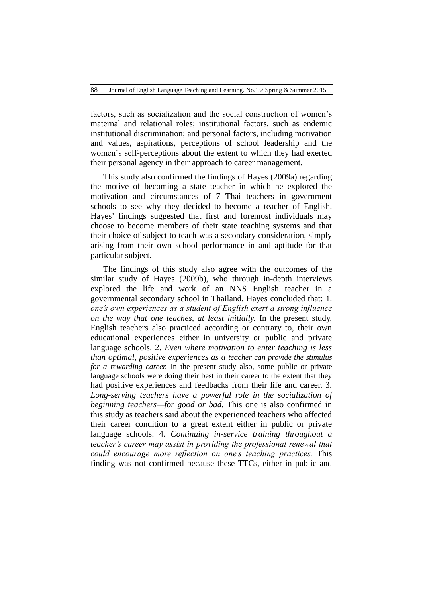factors, such as socialization and the social construction of women's maternal and relational roles; institutional factors, such as endemic institutional discrimination; and personal factors, including motivation and values, aspirations, perceptions of school leadership and the women's self-perceptions about the extent to which they had exerted their personal agency in their approach to career management.

This study also confirmed the findings of Hayes (2009a) regarding the motive of becoming a state teacher in which he explored the motivation and circumstances of 7 Thai teachers in government schools to see why they decided to become a teacher of English. Hayes' findings suggested that first and foremost individuals may choose to become members of their state teaching systems and that their choice of subject to teach was a secondary consideration, simply arising from their own school performance in and aptitude for that particular subject.

The findings of this study also agree with the outcomes of the similar study of Hayes (2009b), who through in-depth interviews explored the life and work of an NNS English teacher in a governmental secondary school in Thailand. Hayes concluded that: 1. *one's own experiences as a student of English exert a strong influence on the way that one teaches, at least initially.* In the present study, English teachers also practiced according or contrary to, their own educational experiences either in university or public and private language schools. 2. *Even where motivation to enter teaching is less than optimal, positive experiences as a teacher can provide the stimulus for a rewarding career.* In the present study also, some public or private language schools were doing their best in their career to the extent that they had positive experiences and feedbacks from their life and career. 3. *Long-serving teachers have a powerful role in the socialization of beginning teachers—for good or bad.* This one is also confirmed in this study as teachers said about the experienced teachers who affected their career condition to a great extent either in public or private language schools. 4. *Continuing in-service training throughout a teacher's career may assist in providing the professional renewal that could encourage more reflection on one's teaching practices.* This finding was not confirmed because these TTCs, either in public and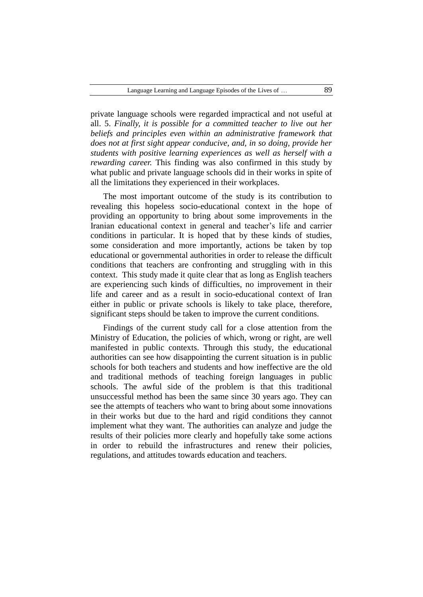private language schools were regarded impractical and not useful at all. 5. *Finally, it is possible for a committed teacher to live out her beliefs and principles even within an administrative framework that does not at first sight appear conducive, and, in so doing, provide her students with positive learning experiences as well as herself with a rewarding career.* This finding was also confirmed in this study by what public and private language schools did in their works in spite of all the limitations they experienced in their workplaces.

The most important outcome of the study is its contribution to revealing this hopeless socio-educational context in the hope of providing an opportunity to bring about some improvements in the Iranian educational context in general and teacher's life and carrier conditions in particular. It is hoped that by these kinds of studies, some consideration and more importantly, actions be taken by top educational or governmental authorities in order to release the difficult conditions that teachers are confronting and struggling with in this context. This study made it quite clear that as long as English teachers are experiencing such kinds of difficulties, no improvement in their life and career and as a result in socio-educational context of Iran either in public or private schools is likely to take place, therefore, significant steps should be taken to improve the current conditions.

Findings of the current study call for a close attention from the Ministry of Education, the policies of which, wrong or right, are well manifested in public contexts. Through this study, the educational authorities can see how disappointing the current situation is in public schools for both teachers and students and how ineffective are the old and traditional methods of teaching foreign languages in public schools. The awful side of the problem is that this traditional unsuccessful method has been the same since 30 years ago. They can see the attempts of teachers who want to bring about some innovations in their works but due to the hard and rigid conditions they cannot implement what they want. The authorities can analyze and judge the results of their policies more clearly and hopefully take some actions in order to rebuild the infrastructures and renew their policies, regulations, and attitudes towards education and teachers.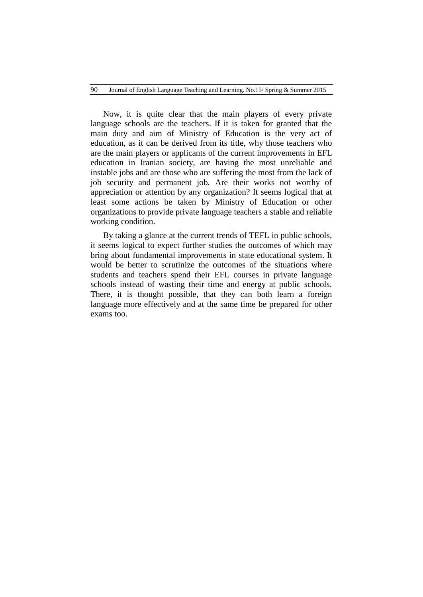Now, it is quite clear that the main players of every private language schools are the teachers. If it is taken for granted that the main duty and aim of Ministry of Education is the very act of education, as it can be derived from its title, why those teachers who are the main players or applicants of the current improvements in EFL education in Iranian society, are having the most unreliable and instable jobs and are those who are suffering the most from the lack of job security and permanent job. Are their works not worthy of appreciation or attention by any organization? It seems logical that at least some actions be taken by Ministry of Education or other organizations to provide private language teachers a stable and reliable working condition.

By taking a glance at the current trends of TEFL in public schools, it seems logical to expect further studies the outcomes of which may bring about fundamental improvements in state educational system. It would be better to scrutinize the outcomes of the situations where students and teachers spend their EFL courses in private language schools instead of wasting their time and energy at public schools. There, it is thought possible, that they can both learn a foreign language more effectively and at the same time be prepared for other exams too.